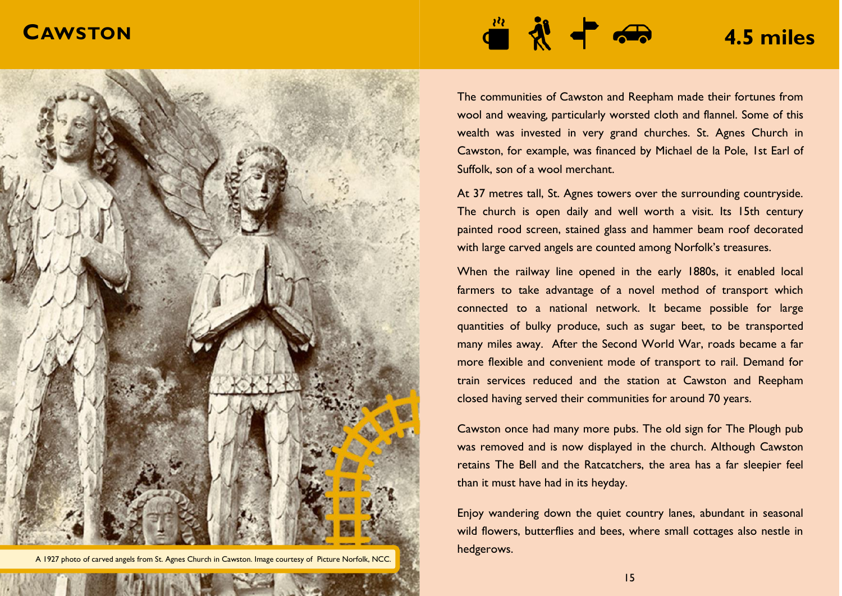## **CAWSTON**



14 A 1927 photo of carved angels from St. Agnes Church in Cawston. Image courtesy of Picture Norfolk, NCC.

## **4.5 miles**

The communities of Cawston and Reepham made their fortunes from wool and weaving*,* particularly worsted cloth and flannel. Some of this wealth was invested in very grand churches. St. Agnes Church in Cawston, for example, was financed by Michael de la Pole, 1st Earl of Suffolk, son of a wool merchant.

At 37 metres tall, St. Agnes towers over the surrounding countryside. The church is open daily and well worth a visit. Its 15th century painted rood screen, stained glass and hammer beam roof decorated with large carved angels are counted among Norfolk's treasures.

When the railway line opened in the early 1880s, it enabled local farmers to take advantage of a novel method of transport which connected to a national network. It became possible for large quantities of bulky produce, such as sugar beet, to be transported many miles away. After the Second World War, roads became a far more flexible and convenient mode of transport to rail. Demand for train services reduced and the station at Cawston and Reepham closed having served their communities for around 70 years.

Cawston once had many more pubs. The old sign for The Plough pub was removed and is now displayed in the church. Although Cawston retains The Bell and the Ratcatchers, the area has a far sleepier feel than it must have had in its heyday.

Enjoy wandering down the quiet country lanes, abundant in seasonal wild flowers, butterflies and bees, where small cottages also nestle in hedgerows.